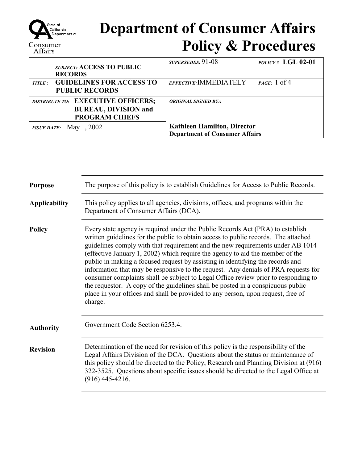

## **Department of Consumer Affairs Policy & Procedures**

| <b>SUBJECT: ACCESS TO PUBLIC</b><br><b>RECORDS</b>                                         | SUPERSEDES: 91-08                                                           | $POLICY# LGL 02-01$    |
|--------------------------------------------------------------------------------------------|-----------------------------------------------------------------------------|------------------------|
| <b>TITLE: GUIDELINES FOR ACCESS TO</b><br><b>PUBLIC RECORDS</b>                            | EFFECTIVE: IMMEDIATELY                                                      | <i>PAGE</i> : $1$ of 4 |
| DISTRIBUTE TO: EXECUTIVE OFFICERS;<br><b>BUREAU, DIVISION and</b><br><b>PROGRAM CHIEFS</b> | <b>ORIGINAL SIGNED BY::</b>                                                 |                        |
| <i>ISSUE DATE:</i> May 1, 2002                                                             | <b>Kathleen Hamilton, Director</b><br><b>Department of Consumer Affairs</b> |                        |

| <b>Purpose</b>       | The purpose of this policy is to establish Guidelines for Access to Public Records.                                                                                                                                                                                                                                                                                                                                                                                                                                                                                                                                                                                                                                                                                                     |  |
|----------------------|-----------------------------------------------------------------------------------------------------------------------------------------------------------------------------------------------------------------------------------------------------------------------------------------------------------------------------------------------------------------------------------------------------------------------------------------------------------------------------------------------------------------------------------------------------------------------------------------------------------------------------------------------------------------------------------------------------------------------------------------------------------------------------------------|--|
| <b>Applicability</b> | This policy applies to all agencies, divisions, offices, and programs within the<br>Department of Consumer Affairs (DCA).                                                                                                                                                                                                                                                                                                                                                                                                                                                                                                                                                                                                                                                               |  |
| <b>Policy</b>        | Every state agency is required under the Public Records Act (PRA) to establish<br>written guidelines for the public to obtain access to public records. The attached<br>guidelines comply with that requirement and the new requirements under AB 1014<br>(effective January 1, 2002) which require the agency to aid the member of the<br>public in making a focused request by assisting in identifying the records and<br>information that may be responsive to the request. Any denials of PRA requests for<br>consumer complaints shall be subject to Legal Office review prior to responding to<br>the requestor. A copy of the guidelines shall be posted in a conspicuous public<br>place in your offices and shall be provided to any person, upon request, free of<br>charge. |  |
| <b>Authority</b>     | Government Code Section 6253.4.                                                                                                                                                                                                                                                                                                                                                                                                                                                                                                                                                                                                                                                                                                                                                         |  |
| <b>Revision</b>      | Determination of the need for revision of this policy is the responsibility of the<br>Legal Affairs Division of the DCA. Questions about the status or maintenance of<br>this policy should be directed to the Policy, Research and Planning Division at (916)<br>322-3525. Questions about specific issues should be directed to the Legal Office at<br>$(916)$ 445-4216.                                                                                                                                                                                                                                                                                                                                                                                                              |  |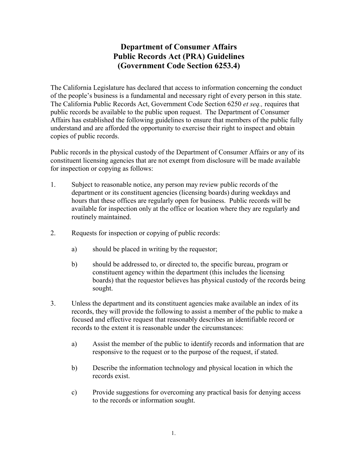## **Department of Consumer Affairs Public Records Act (PRA) Guidelines (Government Code Section 6253.4)**

The California Legislature has declared that access to information concerning the conduct of the people's business is a fundamental and necessary right of every person in this state. The California Public Records Act, Government Code Section 6250 *et seq.,* requires that public records be available to the public upon request. The Department of Consumer Affairs has established the following guidelines to ensure that members of the public fully understand and are afforded the opportunity to exercise their right to inspect and obtain copies of public records.

Public records in the physical custody of the Department of Consumer Affairs or any of its constituent licensing agencies that are not exempt from disclosure will be made available for inspection or copying as follows:

- 1. Subject to reasonable notice, any person may review public records of the department or its constituent agencies (licensing boards) during weekdays and hours that these offices are regularly open for business. Public records will be available for inspection only at the office or location where they are regularly and routinely maintained.
- 2. Requests for inspection or copying of public records:
	- a) should be placed in writing by the requestor;
	- b) should be addressed to, or directed to, the specific bureau, program or constituent agency within the department (this includes the licensing boards) that the requestor believes has physical custody of the records being sought.
- 3. Unless the department and its constituent agencies make available an index of its records, they will provide the following to assist a member of the public to make a focused and effective request that reasonably describes an identifiable record or records to the extent it is reasonable under the circumstances:
	- a) Assist the member of the public to identify records and information that are responsive to the request or to the purpose of the request, if stated.
	- b) Describe the information technology and physical location in which the records exist.
	- c) Provide suggestions for overcoming any practical basis for denying access to the records or information sought.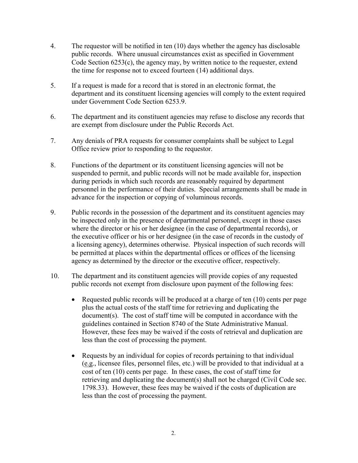- 4. The requestor will be notified in ten (10) days whether the agency has disclosable public records. Where unusual circumstances exist as specified in Government Code Section 6253(c), the agency may, by written notice to the requester, extend the time for response not to exceed fourteen (14) additional days.
- 5. If a request is made for a record that is stored in an electronic format, the department and its constituent licensing agencies will comply to the extent required under Government Code Section 6253.9.
- 6. The department and its constituent agencies may refuse to disclose any records that are exempt from disclosure under the Public Records Act.
- 7. Any denials of PRA requests for consumer complaints shall be subject to Legal Office review prior to responding to the requestor.
- 8. Functions of the department or its constituent licensing agencies will not be suspended to permit, and public records will not be made available for, inspection during periods in which such records are reasonably required by department personnel in the performance of their duties. Special arrangements shall be made in advance for the inspection or copying of voluminous records.
- 9. Public records in the possession of the department and its constituent agencies may be inspected only in the presence of departmental personnel, except in those cases where the director or his or her designee (in the case of departmental records), or the executive officer or his or her designee (in the case of records in the custody of a licensing agency), determines otherwise. Physical inspection of such records will be permitted at places within the departmental offices or offices of the licensing agency as determined by the director or the executive officer, respectively.
- 10. The department and its constituent agencies will provide copies of any requested public records not exempt from disclosure upon payment of the following fees:
	- Requested public records will be produced at a charge of ten (10) cents per page plus the actual costs of the staff time for retrieving and duplicating the document(s). The cost of staff time will be computed in accordance with the guidelines contained in Section 8740 of the State Administrative Manual. However, these fees may be waived if the costs of retrieval and duplication are less than the cost of processing the payment.
	- Requests by an individual for copies of records pertaining to that individual (e.g., licensee files, personnel files, etc.) will be provided to that individual at a cost of ten (10) cents per page. In these cases, the cost of staff time for retrieving and duplicating the document(s) shall not be charged (Civil Code sec. 1798.33). However, these fees may be waived if the costs of duplication are less than the cost of processing the payment.